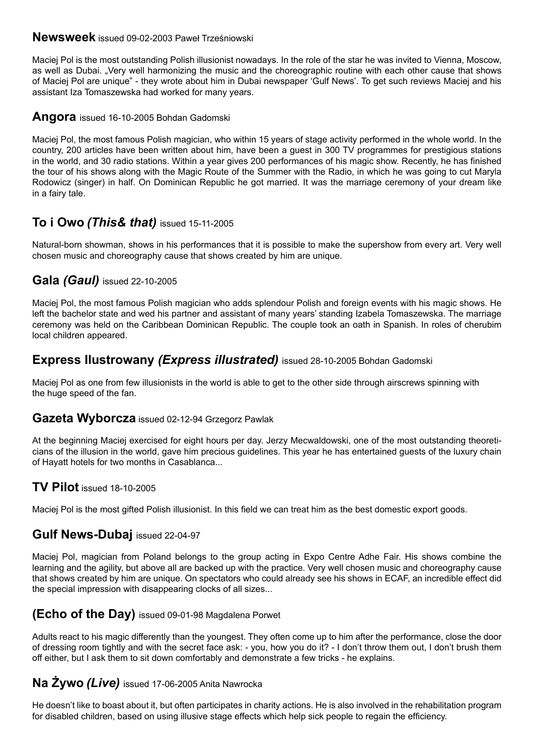#### **Newsweek** issued 09-02-2003 Paweł Trześniowski

Maciej Pol is the most outstanding Polish illusionist nowadays. In the role of the star he was invited to Vienna, Moscow, as well as Dubai. "Very well harmonizing the music and the choreographic routine with each other cause that shows of Maciej Pol are unique" - they wrote about him in Dubai newspaper 'Gulf News'. To get such reviews Maciej and his assistant Iza Tomaszewska had worked for many years.

#### **Angora** issued 16-10-2005 Bohdan Gadomski

Maciej Pol, the most famous Polish magician, who within 15 years of stage activity performed in the whole world. In the country, 200 articles have been written about him, have been a guest in 300 TV programmes for prestigious stations in the world, and 30 radio stations. Within a year gives 200 performances of his magic show. Recently, he has finished the tour of his shows along with the Magic Route of the Summer with the Radio, in which he was going to cut Maryla Rodowicz (singer) in half. On Dominican Republic he got married. It was the marriage ceremony of your dream like in a fairy tale.

# **To i Owo** *(This& that)* issued 15-11-2005

Natural-born showman, shows in his performances that it is possible to make the supershow from every art. Very well chosen music and choreography cause that shows created by him are unique.

## **Gala** *(Gaul)* issued 22-10-2005

Maciej Pol, the most famous Polish magician who adds splendour Polish and foreign events with his magic shows. He left the bachelor state and wed his partner and assistant of many years' standing Izabela Tomaszewska. The marriage ceremony was held on the Caribbean Dominican Republic. The couple took an oath in Spanish. In roles of cherubim local children appeared.

## **Express Ilustrowany** *(Express illustrated)* issued 28-10-2005 Bohdan Gadomski

Maciej Pol as one from few illusionists in the world is able to get to the other side through airscrews spinning with the huge speed of the fan.

#### **Gazeta Wyborcza** issued 02-12-94 Grzegorz Pawlak

At the beginning Maciej exercised for eight hours per day. Jerzy Mecwaldowski, one of the most outstanding theoreticians of the illusion in the world, gave him precious guidelines. This year he has entertained guests of the luxury chain of Hayatt hotels for two months in Casablanca...

#### **TV Pilot** issued 18-10-2005

Maciej Pol is the most gifted Polish illusionist. In this field we can treat him as the best domestic export goods.

## **Gulf News-Dubaj** issued 22-04-97

Maciej Pol, magician from Poland belongs to the group acting in Expo Centre Adhe Fair. His shows combine the learning and the agility, but above all are backed up with the practice. Very well chosen music and choreography cause that shows created by him are unique. On spectators who could already see his shows in ECAF, an incredible effect did the special impression with disappearing clocks of all sizes...

## **(Echo of the Day)** issued 09-01-98 Magdalena Porwet

Adults react to his magic differently than the youngest. They often come up to him after the performance, close the door of dressing room tightly and with the secret face ask: - you, how you do it? - I don't throw them out, I don't brush them off either, but I ask them to sit down comfortably and demonstrate a few tricks - he explains.

# **Na Żywo** *(Live)* issued 17-06-2005 Anita Nawrocka

He doesn't like to boast about it, but often participates in charity actions. He is also involved in the rehabilitation program for disabled children, based on using illusive stage effects which help sick people to regain the efficiency.